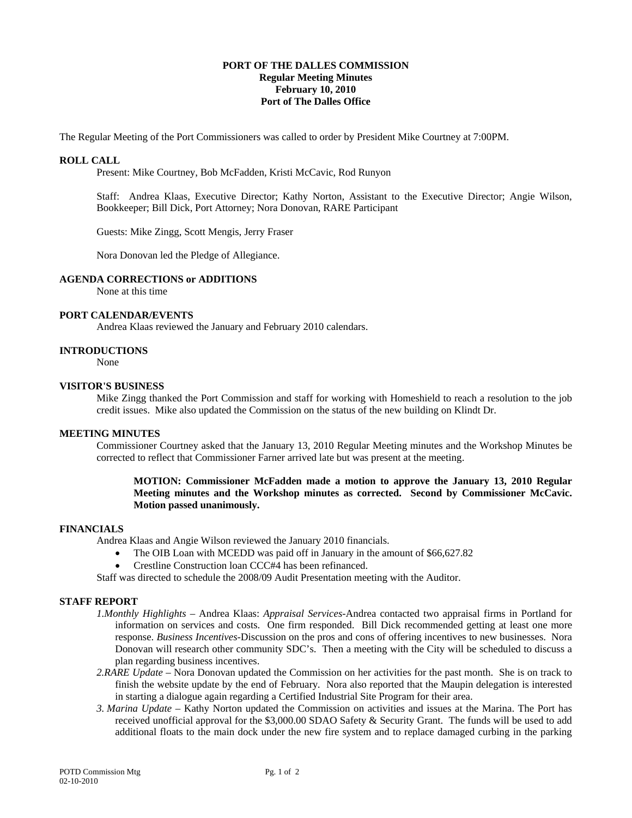## **PORT OF THE DALLES COMMISSION Regular Meeting Minutes February 10, 2010 Port of The Dalles Office**

The Regular Meeting of the Port Commissioners was called to order by President Mike Courtney at 7:00PM.

## **ROLL CALL**

Present: Mike Courtney, Bob McFadden, Kristi McCavic, Rod Runyon

Staff: Andrea Klaas, Executive Director; Kathy Norton, Assistant to the Executive Director; Angie Wilson, Bookkeeper; Bill Dick, Port Attorney; Nora Donovan, RARE Participant

Guests: Mike Zingg, Scott Mengis, Jerry Fraser

Nora Donovan led the Pledge of Allegiance.

# **AGENDA CORRECTIONS or ADDITIONS**

None at this time

## **PORT CALENDAR/EVENTS**

Andrea Klaas reviewed the January and February 2010 calendars.

### **INTRODUCTIONS**

None

#### **VISITOR'S BUSINESS**

Mike Zingg thanked the Port Commission and staff for working with Homeshield to reach a resolution to the job credit issues. Mike also updated the Commission on the status of the new building on Klindt Dr.

### **MEETING MINUTES**

Commissioner Courtney asked that the January 13, 2010 Regular Meeting minutes and the Workshop Minutes be corrected to reflect that Commissioner Farner arrived late but was present at the meeting.

## **MOTION: Commissioner McFadden made a motion to approve the January 13, 2010 Regular Meeting minutes and the Workshop minutes as corrected. Second by Commissioner McCavic. Motion passed unanimously.**

### **FINANCIALS**

Andrea Klaas and Angie Wilson reviewed the January 2010 financials.

- The OIB Loan with MCEDD was paid off in January in the amount of \$66,627.82
- Crestline Construction loan CCC#4 has been refinanced.

Staff was directed to schedule the 2008/09 Audit Presentation meeting with the Auditor.

## **STAFF REPORT**

- *1.Monthly Highlights* Andrea Klaas: *Appraisal Services-*Andrea contacted two appraisal firms in Portland for information on services and costs. One firm responded. Bill Dick recommended getting at least one more response. *Business Incentives-*Discussion on the pros and cons of offering incentives to new businesses. Nora Donovan will research other community SDC's. Then a meeting with the City will be scheduled to discuss a plan regarding business incentives.
- *2.RARE Update* Nora Donovan updated the Commission on her activities for the past month. She is on track to finish the website update by the end of February*.* Nora also reported that the Maupin delegation is interested in starting a dialogue again regarding a Certified Industrial Site Program for their area.
- *3. Marina Update* Kathy Norton updated the Commission on activities and issues at the Marina. The Port has received unofficial approval for the \$3,000.00 SDAO Safety & Security Grant. The funds will be used to add additional floats to the main dock under the new fire system and to replace damaged curbing in the parking